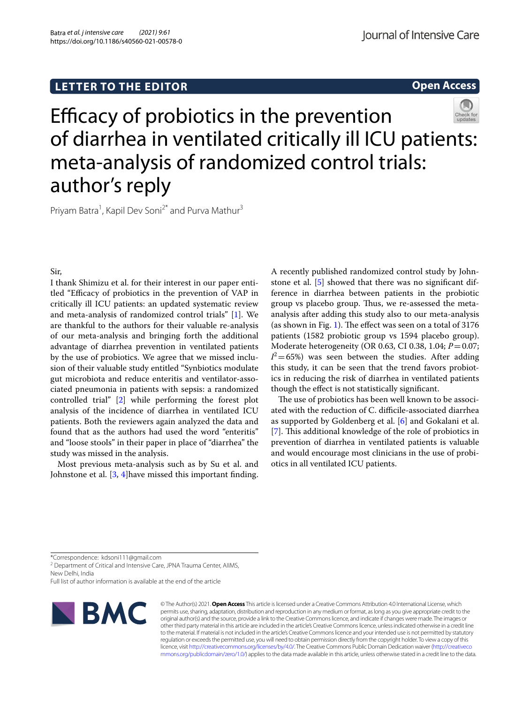# **LETTER TO THE EDITOR**

# **Open Access**



Efficacy of probiotics in the prevention of diarrhea in ventilated critically ill ICU patients: meta-analysis of randomized control trials: author's reply

Priyam Batra<sup>1</sup>, Kapil Dev Soni<sup>2\*</sup> and Purva Mathur<sup>3</sup>

Sir,

I thank Shimizu et al. for their interest in our paper entitled "Efficacy of probiotics in the prevention of VAP in critically ill ICU patients: an updated systematic review and meta-analysis of randomized control trials" [[1\]](#page-1-0). We are thankful to the authors for their valuable re-analysis of our meta-analysis and bringing forth the additional advantage of diarrhea prevention in ventilated patients by the use of probiotics. We agree that we missed inclusion of their valuable study entitled "Synbiotics modulate gut microbiota and reduce enteritis and ventilator-associated pneumonia in patients with sepsis: a randomized controlled trial" [\[2](#page-1-1)] while performing the forest plot analysis of the incidence of diarrhea in ventilated ICU patients. Both the reviewers again analyzed the data and found that as the authors had used the word "enteritis" and "loose stools" in their paper in place of "diarrhea" the study was missed in the analysis.

Most previous meta-analysis such as by Su et al. and Johnstone et al. [\[3](#page-1-2), [4](#page-1-3)]have missed this important fnding. A recently published randomized control study by Johnstone et al. [[5\]](#page-1-4) showed that there was no signifcant difference in diarrhea between patients in the probiotic group vs placebo group. Thus, we re-assessed the metaanalysis after adding this study also to our meta-analysis (as shown in Fig. [1\)](#page-1-5). The effect was seen on a total of  $3176$ patients (1582 probiotic group vs 1594 placebo group). Moderate heterogeneity (OR 0.63, CI 0.38, 1.04; *P*=0.07;  $I^2$  = 65%) was seen between the studies. After adding this study, it can be seen that the trend favors probiotics in reducing the risk of diarrhea in ventilated patients though the efect is not statistically signifcant.

The use of probiotics has been well known to be associated with the reduction of C. difficile-associated diarrhea as supported by Goldenberg et al. [[6\]](#page-1-6) and Gokalani et al. [[7\]](#page-1-7). This additional knowledge of the role of probiotics in prevention of diarrhea in ventilated patients is valuable and would encourage most clinicians in the use of probiotics in all ventilated ICU patients.

\*Correspondence: kdsoni111@gmail.com

<sup>2</sup> Department of Critical and Intensive Care, JPNA Trauma Center, AllMS, New Delhi, India

Full list of author information is available at the end of the article



© The Author(s) 2021. **Open Access** This article is licensed under a Creative Commons Attribution 4.0 International License, which permits use, sharing, adaptation, distribution and reproduction in any medium or format, as long as you give appropriate credit to the original author(s) and the source, provide a link to the Creative Commons licence, and indicate if changes were made. The images or other third party material in this article are included in the article's Creative Commons licence, unless indicated otherwise in a credit line to the material. If material is not included in the article's Creative Commons licence and your intended use is not permitted by statutory regulation or exceeds the permitted use, you will need to obtain permission directly from the copyright holder. To view a copy of this licence, visit [http://creativecommons.org/licenses/by/4.0/.](http://creativecommons.org/licenses/by/4.0/) The Creative Commons Public Domain Dedication waiver ([http://creativeco](http://creativecommons.org/publicdomain/zero/1.0/) [mmons.org/publicdomain/zero/1.0/](http://creativecommons.org/publicdomain/zero/1.0/)) applies to the data made available in this article, unless otherwise stated in a credit line to the data.